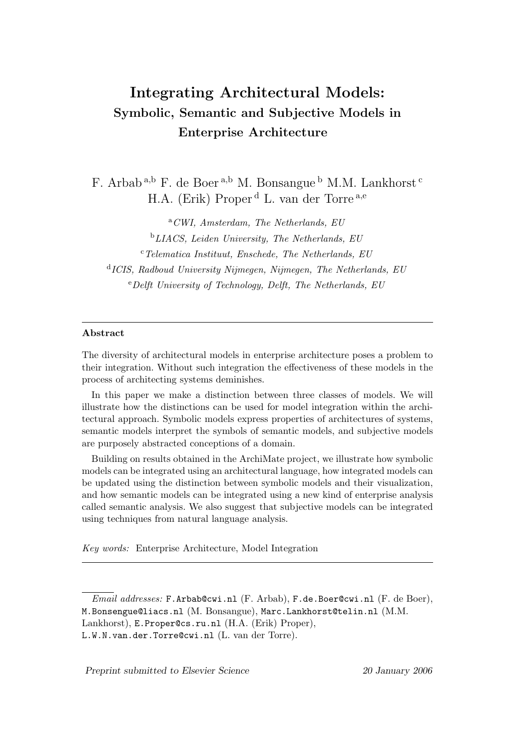# Integrating Architectural Models: Symbolic, Semantic and Subjective Models in Enterprise Architecture

F. Arbab<sup>a,b</sup> F. de Boer<sup>a,b</sup> M. Bonsangue <sup>b</sup> M.M. Lankhorst<sup>c</sup> H.A. (Erik) Proper<sup>d</sup> L. van der Torre<sup>a,e</sup>

<sup>a</sup>CWI, Amsterdam, The Netherlands, EU  $b$ LIACS, Leiden University, The Netherlands, EU  $c$ Telematica Instituut, Enschede, The Netherlands, EU d ICIS, Radboud University Nijmegen, Nijmegen, The Netherlands, EU  $e$ Pelft University of Technology, Delft, The Netherlands, EU

#### Abstract

The diversity of architectural models in enterprise architecture poses a problem to their integration. Without such integration the effectiveness of these models in the process of architecting systems deminishes.

In this paper we make a distinction between three classes of models. We will illustrate how the distinctions can be used for model integration within the architectural approach. Symbolic models express properties of architectures of systems, semantic models interpret the symbols of semantic models, and subjective models are purposely abstracted conceptions of a domain.

Building on results obtained in the ArchiMate project, we illustrate how symbolic models can be integrated using an architectural language, how integrated models can be updated using the distinction between symbolic models and their visualization, and how semantic models can be integrated using a new kind of enterprise analysis called semantic analysis. We also suggest that subjective models can be integrated using techniques from natural language analysis.

Key words: Enterprise Architecture, Model Integration

Email addresses: F.Arbab@cwi.nl (F. Arbab), F.de.Boer@cwi.nl (F. de Boer), M.Bonsengue@liacs.nl (M. Bonsangue), Marc.Lankhorst@telin.nl (M.M. Lankhorst), E.Proper@cs.ru.nl (H.A. (Erik) Proper), L.W.N.van.der.Torre@cwi.nl (L. van der Torre).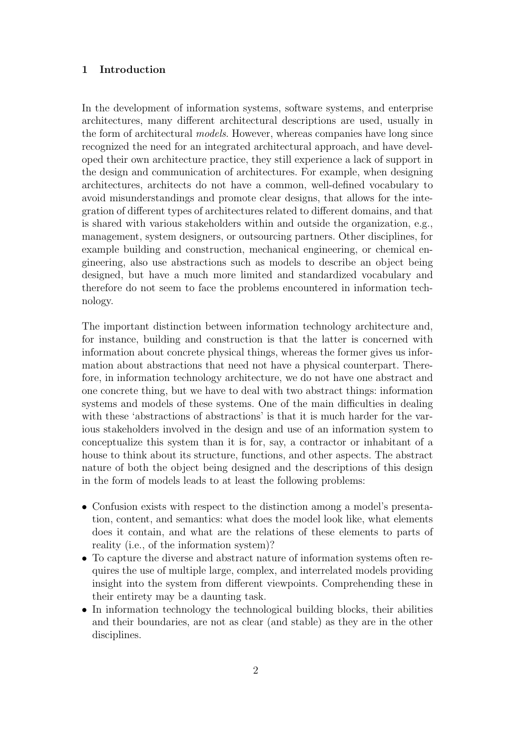#### 1 Introduction

In the development of information systems, software systems, and enterprise architectures, many different architectural descriptions are used, usually in the form of architectural models. However, whereas companies have long since recognized the need for an integrated architectural approach, and have developed their own architecture practice, they still experience a lack of support in the design and communication of architectures. For example, when designing architectures, architects do not have a common, well-defined vocabulary to avoid misunderstandings and promote clear designs, that allows for the integration of different types of architectures related to different domains, and that is shared with various stakeholders within and outside the organization, e.g., management, system designers, or outsourcing partners. Other disciplines, for example building and construction, mechanical engineering, or chemical engineering, also use abstractions such as models to describe an object being designed, but have a much more limited and standardized vocabulary and therefore do not seem to face the problems encountered in information technology.

The important distinction between information technology architecture and, for instance, building and construction is that the latter is concerned with information about concrete physical things, whereas the former gives us information about abstractions that need not have a physical counterpart. Therefore, in information technology architecture, we do not have one abstract and one concrete thing, but we have to deal with two abstract things: information systems and models of these systems. One of the main difficulties in dealing with these 'abstractions of abstractions' is that it is much harder for the various stakeholders involved in the design and use of an information system to conceptualize this system than it is for, say, a contractor or inhabitant of a house to think about its structure, functions, and other aspects. The abstract nature of both the object being designed and the descriptions of this design in the form of models leads to at least the following problems:

- Confusion exists with respect to the distinction among a model's presentation, content, and semantics: what does the model look like, what elements does it contain, and what are the relations of these elements to parts of reality (i.e., of the information system)?
- To capture the diverse and abstract nature of information systems often requires the use of multiple large, complex, and interrelated models providing insight into the system from different viewpoints. Comprehending these in their entirety may be a daunting task.
- In information technology the technological building blocks, their abilities and their boundaries, are not as clear (and stable) as they are in the other disciplines.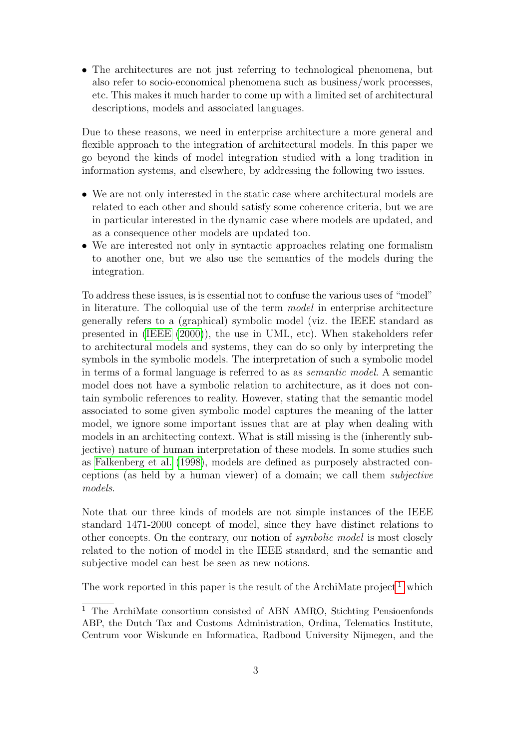• The architectures are not just referring to technological phenomena, but also refer to socio-economical phenomena such as business/work processes, etc. This makes it much harder to come up with a limited set of architectural descriptions, models and associated languages.

Due to these reasons, we need in enterprise architecture a more general and flexible approach to the integration of architectural models. In this paper we go beyond the kinds of model integration studied with a long tradition in information systems, and elsewhere, by addressing the following two issues.

- We are not only interested in the static case where architectural models are related to each other and should satisfy some coherence criteria, but we are in particular interested in the dynamic case where models are updated, and as a consequence other models are updated too.
- We are interested not only in syntactic approaches relating one formalism to another one, but we also use the semantics of the models during the integration.

To address these issues, is is essential not to confuse the various uses of "model" in literature. The colloquial use of the term model in enterprise architecture generally refers to a (graphical) symbolic model (viz. the IEEE standard as presented in [\(IEEE](#page-26-0) [\(2000\)](#page-26-0)), the use in UML, etc). When stakeholders refer to architectural models and systems, they can do so only by interpreting the symbols in the symbolic models. The interpretation of such a symbolic model in terms of a formal language is referred to as as semantic model. A semantic model does not have a symbolic relation to architecture, as it does not contain symbolic references to reality. However, stating that the semantic model associated to some given symbolic model captures the meaning of the latter model, we ignore some important issues that are at play when dealing with models in an architecting context. What is still missing is the (inherently subjective) nature of human interpretation of these models. In some studies such as [Falkenberg et al.](#page-25-0) [\(1998\)](#page-25-0), models are defined as purposely abstracted conceptions (as held by a human viewer) of a domain; we call them subjective models.

Note that our three kinds of models are not simple instances of the IEEE standard 1471-2000 concept of model, since they have distinct relations to other concepts. On the contrary, our notion of symbolic model is most closely related to the notion of model in the IEEE standard, and the semantic and subjective model can best be seen as new notions.

The work reported in this paper is the result of the ArchiMate project<sup>[1](#page-2-0)</sup> which

<span id="page-2-0"></span><sup>&</sup>lt;sup>1</sup> The ArchiMate consortium consisted of ABN AMRO, Stichting Pensioenfonds ABP, the Dutch Tax and Customs Administration, Ordina, Telematics Institute, Centrum voor Wiskunde en Informatica, Radboud University Nijmegen, and the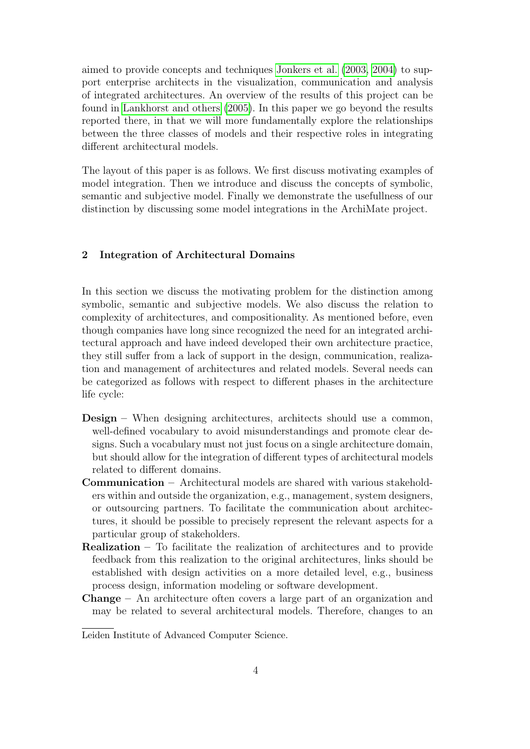aimed to provide concepts and techniques [Jonkers et al.](#page-26-1) [\(2003,](#page-26-1) [2004\)](#page-26-2) to support enterprise architects in the visualization, communication and analysis of integrated architectures. An overview of the results of this project can be found in [Lankhorst and others](#page-26-3) [\(2005\)](#page-26-3). In this paper we go beyond the results reported there, in that we will more fundamentally explore the relationships between the three classes of models and their respective roles in integrating different architectural models.

The layout of this paper is as follows. We first discuss motivating examples of model integration. Then we introduce and discuss the concepts of symbolic, semantic and subjective model. Finally we demonstrate the usefullness of our distinction by discussing some model integrations in the ArchiMate project.

## 2 Integration of Architectural Domains

In this section we discuss the motivating problem for the distinction among symbolic, semantic and subjective models. We also discuss the relation to complexity of architectures, and compositionality. As mentioned before, even though companies have long since recognized the need for an integrated architectural approach and have indeed developed their own architecture practice, they still suffer from a lack of support in the design, communication, realization and management of architectures and related models. Several needs can be categorized as follows with respect to different phases in the architecture life cycle:

- Design When designing architectures, architects should use a common, well-defined vocabulary to avoid misunderstandings and promote clear designs. Such a vocabulary must not just focus on a single architecture domain, but should allow for the integration of different types of architectural models related to different domains.
- Communication Architectural models are shared with various stakeholders within and outside the organization, e.g., management, system designers, or outsourcing partners. To facilitate the communication about architectures, it should be possible to precisely represent the relevant aspects for a particular group of stakeholders.
- Realization To facilitate the realization of architectures and to provide feedback from this realization to the original architectures, links should be established with design activities on a more detailed level, e.g., business process design, information modeling or software development.
- Change An architecture often covers a large part of an organization and may be related to several architectural models. Therefore, changes to an

Leiden Institute of Advanced Computer Science.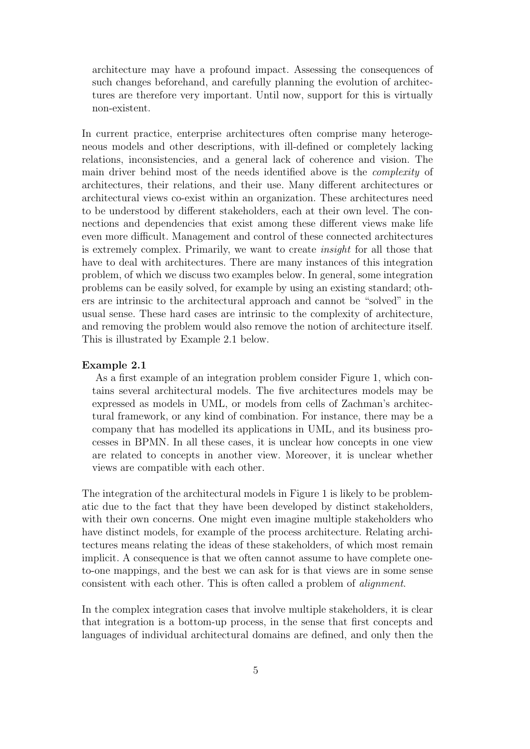architecture may have a profound impact. Assessing the consequences of such changes beforehand, and carefully planning the evolution of architectures are therefore very important. Until now, support for this is virtually non-existent.

In current practice, enterprise architectures often comprise many heterogeneous models and other descriptions, with ill-defined or completely lacking relations, inconsistencies, and a general lack of coherence and vision. The main driver behind most of the needs identified above is the complexity of architectures, their relations, and their use. Many different architectures or architectural views co-exist within an organization. These architectures need to be understood by different stakeholders, each at their own level. The connections and dependencies that exist among these different views make life even more difficult. Management and control of these connected architectures is extremely complex. Primarily, we want to create insight for all those that have to deal with architectures. There are many instances of this integration problem, of which we discuss two examples below. In general, some integration problems can be easily solved, for example by using an existing standard; others are intrinsic to the architectural approach and cannot be "solved" in the usual sense. These hard cases are intrinsic to the complexity of architecture, and removing the problem would also remove the notion of architecture itself. This is illustrated by Example 2.1 below.

# Example 2.1

As a first example of an integration problem consider Figure 1, which contains several architectural models. The five architectures models may be expressed as models in UML, or models from cells of Zachman's architectural framework, or any kind of combination. For instance, there may be a company that has modelled its applications in UML, and its business processes in BPMN. In all these cases, it is unclear how concepts in one view are related to concepts in another view. Moreover, it is unclear whether views are compatible with each other.

The integration of the architectural models in Figure 1 is likely to be problematic due to the fact that they have been developed by distinct stakeholders, with their own concerns. One might even imagine multiple stakeholders who have distinct models, for example of the process architecture. Relating architectures means relating the ideas of these stakeholders, of which most remain implicit. A consequence is that we often cannot assume to have complete oneto-one mappings, and the best we can ask for is that views are in some sense consistent with each other. This is often called a problem of alignment.

In the complex integration cases that involve multiple stakeholders, it is clear that integration is a bottom-up process, in the sense that first concepts and languages of individual architectural domains are defined, and only then the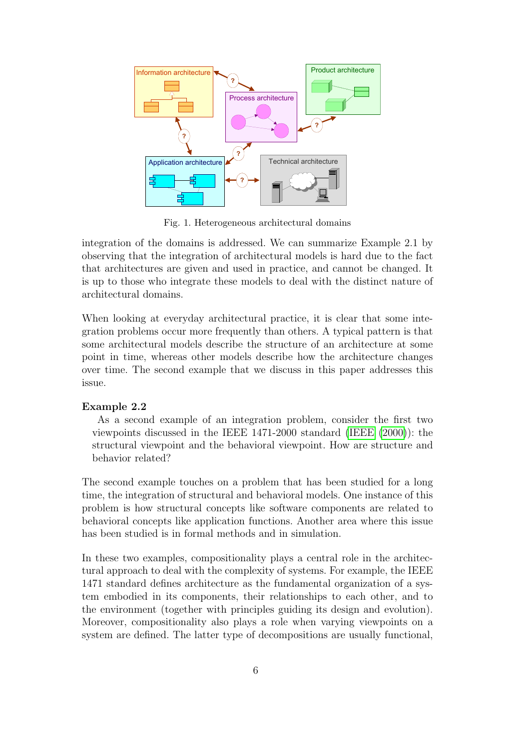

Fig. 1. Heterogeneous architectural domains

integration of the domains is addressed. We can summarize Example 2.1 by observing that the integration of architectural models is hard due to the fact that architectures are given and used in practice, and cannot be changed. It is up to those who integrate these models to deal with the distinct nature of architectural domains.

When looking at everyday architectural practice, it is clear that some integration problems occur more frequently than others. A typical pattern is that some architectural models describe the structure of an architecture at some point in time, whereas other models describe how the architecture changes over time. The second example that we discuss in this paper addresses this issue.

#### Example 2.2

As a second example of an integration problem, consider the first two viewpoints discussed in the IEEE 1471-2000 standard [\(IEEE](#page-26-0) [\(2000\)](#page-26-0)): the structural viewpoint and the behavioral viewpoint. How are structure and behavior related?

The second example touches on a problem that has been studied for a long time, the integration of structural and behavioral models. One instance of this problem is how structural concepts like software components are related to behavioral concepts like application functions. Another area where this issue has been studied is in formal methods and in simulation.

In these two examples, compositionality plays a central role in the architectural approach to deal with the complexity of systems. For example, the IEEE 1471 standard defines architecture as the fundamental organization of a system embodied in its components, their relationships to each other, and to the environment (together with principles guiding its design and evolution). Moreover, compositionality also plays a role when varying viewpoints on a system are defined. The latter type of decompositions are usually functional,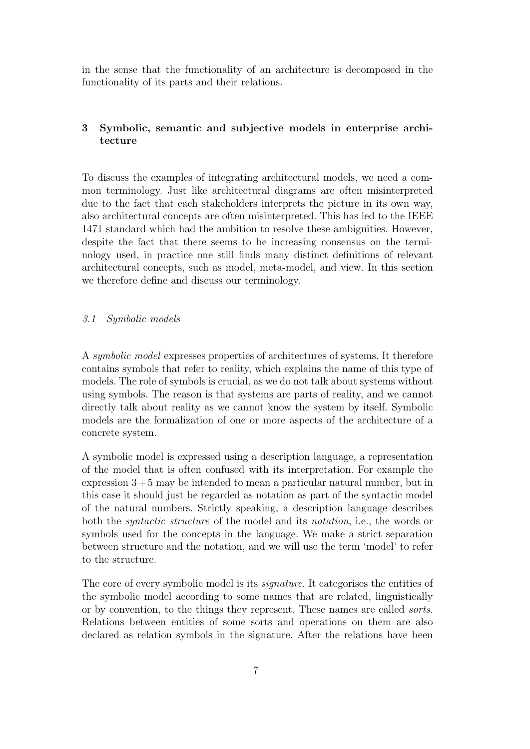in the sense that the functionality of an architecture is decomposed in the functionality of its parts and their relations.

# 3 Symbolic, semantic and subjective models in enterprise architecture

To discuss the examples of integrating architectural models, we need a common terminology. Just like architectural diagrams are often misinterpreted due to the fact that each stakeholders interprets the picture in its own way, also architectural concepts are often misinterpreted. This has led to the IEEE 1471 standard which had the ambition to resolve these ambiguities. However, despite the fact that there seems to be increasing consensus on the terminology used, in practice one still finds many distinct definitions of relevant architectural concepts, such as model, meta-model, and view. In this section we therefore define and discuss our terminology.

#### 3.1 Symbolic models

A symbolic model expresses properties of architectures of systems. It therefore contains symbols that refer to reality, which explains the name of this type of models. The role of symbols is crucial, as we do not talk about systems without using symbols. The reason is that systems are parts of reality, and we cannot directly talk about reality as we cannot know the system by itself. Symbolic models are the formalization of one or more aspects of the architecture of a concrete system.

A symbolic model is expressed using a description language, a representation of the model that is often confused with its interpretation. For example the expression  $3 + 5$  may be intended to mean a particular natural number, but in this case it should just be regarded as notation as part of the syntactic model of the natural numbers. Strictly speaking, a description language describes both the syntactic structure of the model and its notation, i.e., the words or symbols used for the concepts in the language. We make a strict separation between structure and the notation, and we will use the term 'model' to refer to the structure.

The core of every symbolic model is its *signature*. It categorises the entities of the symbolic model according to some names that are related, linguistically or by convention, to the things they represent. These names are called sorts. Relations between entities of some sorts and operations on them are also declared as relation symbols in the signature. After the relations have been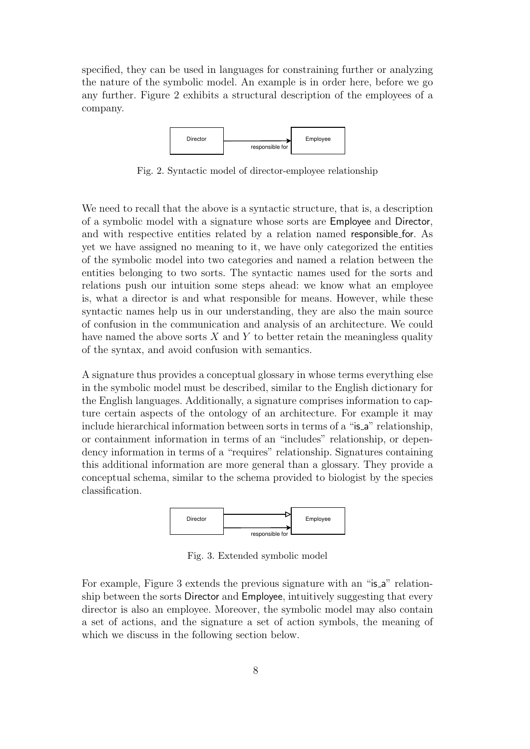specified, they can be used in languages for constraining further or analyzing the nature of the symbolic model. An example is in order here, before we go any further. Figure 2 exhibits a structural description of the employees of a company.



Fig. 2. Syntactic model of director-employee relationship

We need to recall that the above is a syntactic structure, that is, a description of a symbolic model with a signature whose sorts are Employee and Director, and with respective entities related by a relation named responsible for. As yet we have assigned no meaning to it, we have only categorized the entities of the symbolic model into two categories and named a relation between the entities belonging to two sorts. The syntactic names used for the sorts and relations push our intuition some steps ahead: we know what an employee is, what a director is and what responsible for means. However, while these syntactic names help us in our understanding, they are also the main source of confusion in the communication and analysis of an architecture. We could have named the above sorts  $X$  and  $Y$  to better retain the meaningless quality of the syntax, and avoid confusion with semantics.

A signature thus provides a conceptual glossary in whose terms everything else in the symbolic model must be described, similar to the English dictionary for the English languages. Additionally, a signature comprises information to capture certain aspects of the ontology of an architecture. For example it may include hierarchical information between sorts in terms of a "is<sub>-</sub>a" relationship, or containment information in terms of an "includes" relationship, or dependency information in terms of a "requires" relationship. Signatures containing this additional information are more general than a glossary. They provide a conceptual schema, similar to the schema provided to biologist by the species classification.



Fig. 3. Extended symbolic model

For example, Figure 3 extends the previous signature with an "is<sub>-a</sub>" relationship between the sorts Director and Employee, intuitively suggesting that every director is also an employee. Moreover, the symbolic model may also contain a set of actions, and the signature a set of action symbols, the meaning of which we discuss in the following section below.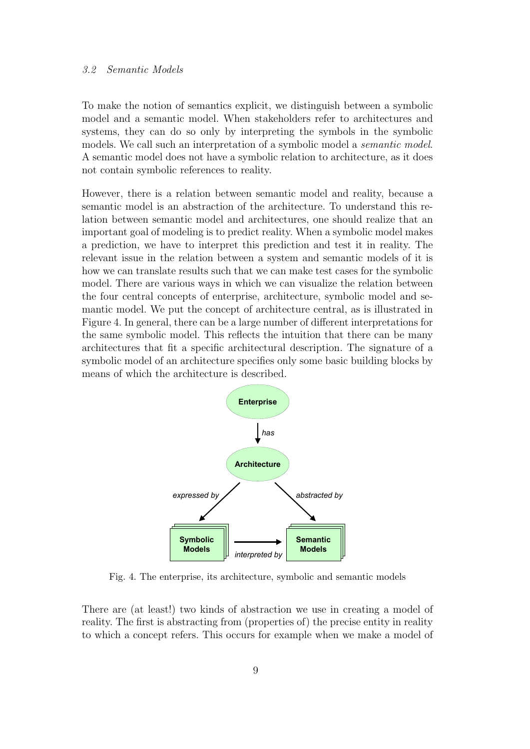#### 3.2 Semantic Models

To make the notion of semantics explicit, we distinguish between a symbolic model and a semantic model. When stakeholders refer to architectures and systems, they can do so only by interpreting the symbols in the symbolic models. We call such an interpretation of a symbolic model a semantic model. A semantic model does not have a symbolic relation to architecture, as it does not contain symbolic references to reality.

However, there is a relation between semantic model and reality, because a semantic model is an abstraction of the architecture. To understand this relation between semantic model and architectures, one should realize that an important goal of modeling is to predict reality. When a symbolic model makes a prediction, we have to interpret this prediction and test it in reality. The relevant issue in the relation between a system and semantic models of it is how we can translate results such that we can make test cases for the symbolic model. There are various ways in which we can visualize the relation between the four central concepts of enterprise, architecture, symbolic model and semantic model. We put the concept of architecture central, as is illustrated in Figure 4. In general, there can be a large number of different interpretations for the same symbolic model. This reflects the intuition that there can be many architectures that fit a specific architectural description. The signature of a symbolic model of an architecture specifies only some basic building blocks by means of which the architecture is described.



Fig. 4. The enterprise, its architecture, symbolic and semantic models

There are (at least!) two kinds of abstraction we use in creating a model of reality. The first is abstracting from (properties of) the precise entity in reality to which a concept refers. This occurs for example when we make a model of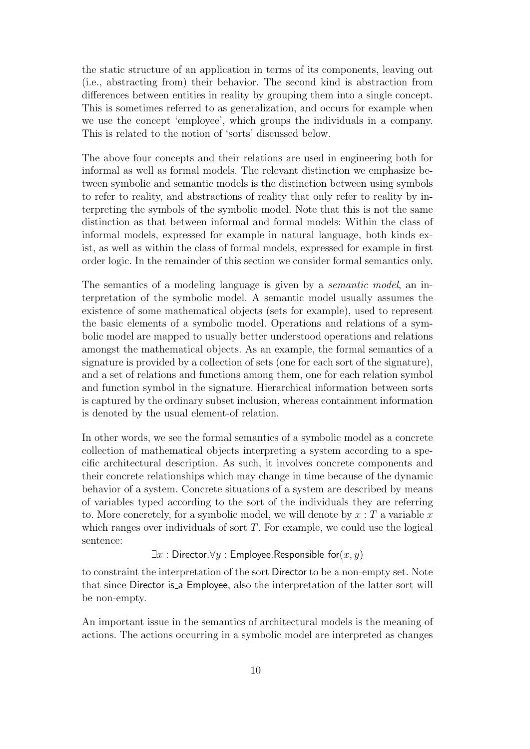the static structure of an application in terms of its components, leaving out (i.e., abstracting from) their behavior. The second kind is abstraction from differences between entities in reality by grouping them into a single concept. This is sometimes referred to as generalization, and occurs for example when we use the concept 'employee', which groups the individuals in a company. This is related to the notion of 'sorts' discussed below.

The above four concepts and their relations are used in engineering both for informal as well as formal models. The relevant distinction we emphasize between symbolic and semantic models is the distinction between using symbols to refer to reality, and abstractions of reality that only refer to reality by interpreting the symbols of the symbolic model. Note that this is not the same distinction as that between informal and formal models: Within the class of informal models, expressed for example in natural language, both kinds exist, as well as within the class of formal models, expressed for example in first order logic. In the remainder of this section we consider formal semantics only.

The semantics of a modeling language is given by a *semantic model*, an interpretation of the symbolic model. A semantic model usually assumes the existence of some mathematical objects (sets for example), used to represent the basic elements of a symbolic model. Operations and relations of a symbolic model are mapped to usually better understood operations and relations amongst the mathematical objects. As an example, the formal semantics of a signature is provided by a collection of sets (one for each sort of the signature), and a set of relations and functions among them, one for each relation symbol and function symbol in the signature. Hierarchical information between sorts is captured by the ordinary subset inclusion, whereas containment information is denoted by the usual element-of relation.

In other words, we see the formal semantics of a symbolic model as a concrete collection of mathematical objects interpreting a system according to a specific architectural description. As such, it involves concrete components and their concrete relationships which may change in time because of the dynamic behavior of a system. Concrete situations of a system are described by means of variables typed according to the sort of the individuals they are referring to. More concretely, for a symbolic model, we will denote by  $x : T$  a variable x which ranges over individuals of sort  $T$ . For example, we could use the logical sentence:

 $\exists x :$  Director. $\forall y :$  Employee. Responsible\_for $(x, y)$ 

to constraint the interpretation of the sort Director to be a non-empty set. Note that since Director is a Employee, also the interpretation of the latter sort will be non-empty.

An important issue in the semantics of architectural models is the meaning of actions. The actions occurring in a symbolic model are interpreted as changes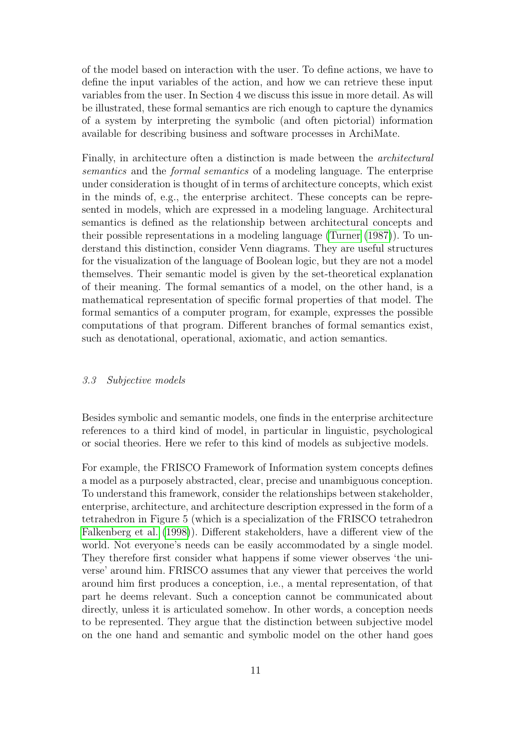of the model based on interaction with the user. To define actions, we have to define the input variables of the action, and how we can retrieve these input variables from the user. In Section 4 we discuss this issue in more detail. As will be illustrated, these formal semantics are rich enough to capture the dynamics of a system by interpreting the symbolic (and often pictorial) information available for describing business and software processes in ArchiMate.

Finally, in architecture often a distinction is made between the architectural semantics and the formal semantics of a modeling language. The enterprise under consideration is thought of in terms of architecture concepts, which exist in the minds of, e.g., the enterprise architect. These concepts can be represented in models, which are expressed in a modeling language. Architectural semantics is defined as the relationship between architectural concepts and their possible representations in a modeling language [\(Turner](#page-27-0) [\(1987\)](#page-27-0)). To understand this distinction, consider Venn diagrams. They are useful structures for the visualization of the language of Boolean logic, but they are not a model themselves. Their semantic model is given by the set-theoretical explanation of their meaning. The formal semantics of a model, on the other hand, is a mathematical representation of specific formal properties of that model. The formal semantics of a computer program, for example, expresses the possible computations of that program. Different branches of formal semantics exist, such as denotational, operational, axiomatic, and action semantics.

### 3.3 Subjective models

Besides symbolic and semantic models, one finds in the enterprise architecture references to a third kind of model, in particular in linguistic, psychological or social theories. Here we refer to this kind of models as subjective models.

For example, the FRISCO Framework of Information system concepts defines a model as a purposely abstracted, clear, precise and unambiguous conception. To understand this framework, consider the relationships between stakeholder, enterprise, architecture, and architecture description expressed in the form of a tetrahedron in Figure 5 (which is a specialization of the FRISCO tetrahedron [Falkenberg et al.](#page-25-0) [\(1998\)](#page-25-0)). Different stakeholders, have a different view of the world. Not everyone's needs can be easily accommodated by a single model. They therefore first consider what happens if some viewer observes 'the universe' around him. FRISCO assumes that any viewer that perceives the world around him first produces a conception, i.e., a mental representation, of that part he deems relevant. Such a conception cannot be communicated about directly, unless it is articulated somehow. In other words, a conception needs to be represented. They argue that the distinction between subjective model on the one hand and semantic and symbolic model on the other hand goes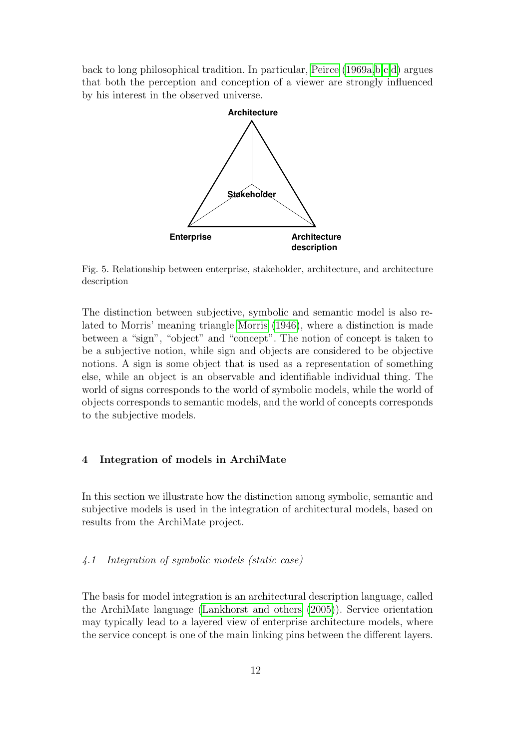back to long philosophical tradition. In particular, [Peirce](#page-27-1) [\(1969a](#page-27-1)[,b,](#page-27-2)[c](#page-27-3)[,d\)](#page-27-4) argues that both the perception and conception of a viewer are strongly influenced by his interest in the observed universe.



Fig. 5. Relationship between enterprise, stakeholder, architecture, and architecture description

The distinction between subjective, symbolic and semantic model is also related to Morris' meaning triangle [Morris](#page-27-5) [\(1946\)](#page-27-5), where a distinction is made between a "sign", "object" and "concept". The notion of concept is taken to be a subjective notion, while sign and objects are considered to be objective notions. A sign is some object that is used as a representation of something else, while an object is an observable and identifiable individual thing. The world of signs corresponds to the world of symbolic models, while the world of objects corresponds to semantic models, and the world of concepts corresponds to the subjective models.

## 4 Integration of models in ArchiMate

In this section we illustrate how the distinction among symbolic, semantic and subjective models is used in the integration of architectural models, based on results from the ArchiMate project.

# 4.1 Integration of symbolic models (static case)

The basis for model integration is an architectural description language, called the ArchiMate language [\(Lankhorst and others](#page-26-3) [\(2005\)](#page-26-3)). Service orientation may typically lead to a layered view of enterprise architecture models, where the service concept is one of the main linking pins between the different layers.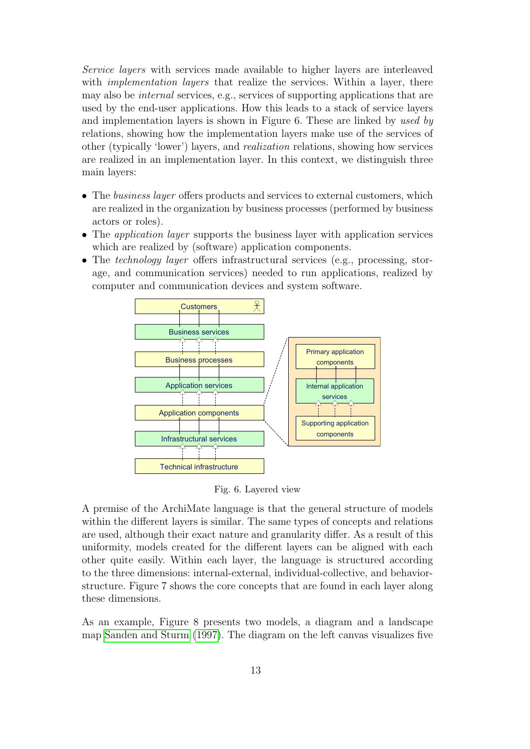Service layers with services made available to higher layers are interleaved with *implementation layers* that realize the services. Within a layer, there may also be internal services, e.g., services of supporting applications that are used by the end-user applications. How this leads to a stack of service layers and implementation layers is shown in Figure 6. These are linked by used by relations, showing how the implementation layers make use of the services of other (typically 'lower') layers, and realization relations, showing how services are realized in an implementation layer. In this context, we distinguish three main layers:

- The business layer offers products and services to external customers, which are realized in the organization by business processes (performed by business actors or roles).
- The *application layer* supports the business layer with application services which are realized by (software) application components.
- The *technology layer* offers infrastructural services (e.g., processing, storage, and communication services) needed to run applications, realized by computer and communication devices and system software.



Fig. 6. Layered view

A premise of the ArchiMate language is that the general structure of models within the different layers is similar. The same types of concepts and relations are used, although their exact nature and granularity differ. As a result of this uniformity, models created for the different layers can be aligned with each other quite easily. Within each layer, the language is structured according to the three dimensions: internal-external, individual-collective, and behaviorstructure. Figure 7 shows the core concepts that are found in each layer along these dimensions.

As an example, Figure 8 presents two models, a diagram and a landscape map [Sanden and Sturm](#page-27-6) [\(1997\)](#page-27-6). The diagram on the left canvas visualizes five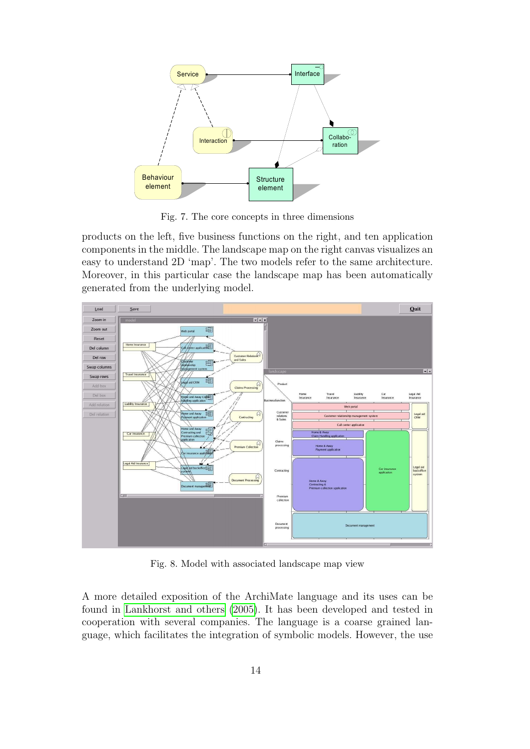

Fig. 7. The core concepts in three dimensions

products on the left, five business functions on the right, and ten application components in the middle. The landscape map on the right canvas visualizes an easy to understand 2D 'map'. The two models refer to the same architecture. Moreover, in this particular case the landscape map has been automatically generated from the underlying model.



Fig. 8. Model with associated landscape map view

A more detailed exposition of the ArchiMate language and its uses can be found in [Lankhorst and others](#page-26-3) [\(2005\)](#page-26-3). It has been developed and tested in cooperation with several companies. The language is a coarse grained language, which facilitates the integration of symbolic models. However, the use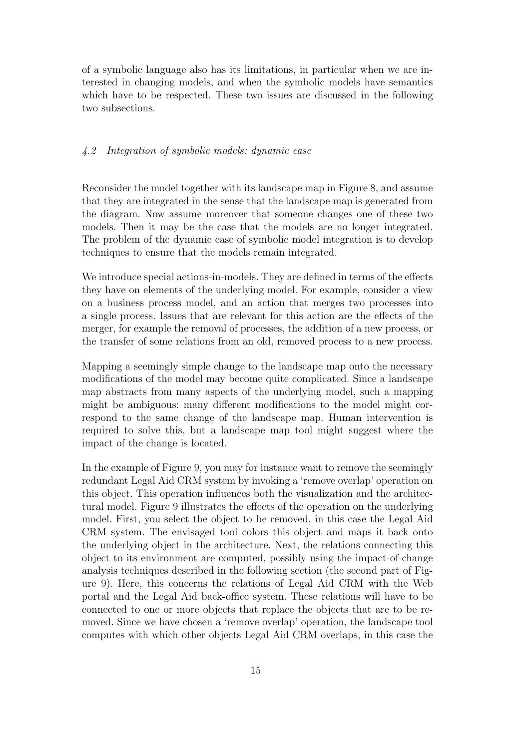of a symbolic language also has its limitations, in particular when we are interested in changing models, and when the symbolic models have semantics which have to be respected. These two issues are discussed in the following two subsections.

## 4.2 Integration of symbolic models: dynamic case

Reconsider the model together with its landscape map in Figure 8, and assume that they are integrated in the sense that the landscape map is generated from the diagram. Now assume moreover that someone changes one of these two models. Then it may be the case that the models are no longer integrated. The problem of the dynamic case of symbolic model integration is to develop techniques to ensure that the models remain integrated.

We introduce special actions-in-models. They are defined in terms of the effects they have on elements of the underlying model. For example, consider a view on a business process model, and an action that merges two processes into a single process. Issues that are relevant for this action are the effects of the merger, for example the removal of processes, the addition of a new process, or the transfer of some relations from an old, removed process to a new process.

Mapping a seemingly simple change to the landscape map onto the necessary modifications of the model may become quite complicated. Since a landscape map abstracts from many aspects of the underlying model, such a mapping might be ambiguous: many different modifications to the model might correspond to the same change of the landscape map. Human intervention is required to solve this, but a landscape map tool might suggest where the impact of the change is located.

In the example of Figure 9, you may for instance want to remove the seemingly redundant Legal Aid CRM system by invoking a 'remove overlap' operation on this object. This operation influences both the visualization and the architectural model. Figure 9 illustrates the effects of the operation on the underlying model. First, you select the object to be removed, in this case the Legal Aid CRM system. The envisaged tool colors this object and maps it back onto the underlying object in the architecture. Next, the relations connecting this object to its environment are computed, possibly using the impact-of-change analysis techniques described in the following section (the second part of Figure 9). Here, this concerns the relations of Legal Aid CRM with the Web portal and the Legal Aid back-office system. These relations will have to be connected to one or more objects that replace the objects that are to be removed. Since we have chosen a 'remove overlap' operation, the landscape tool computes with which other objects Legal Aid CRM overlaps, in this case the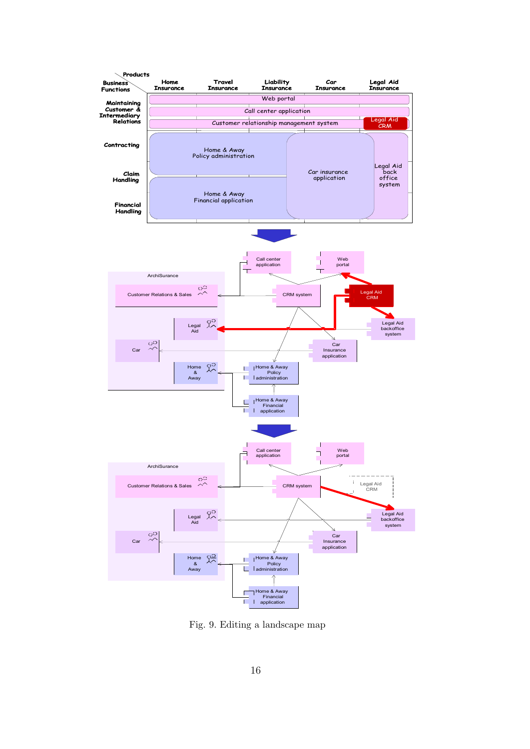

Fig. 9. Editing a landscape map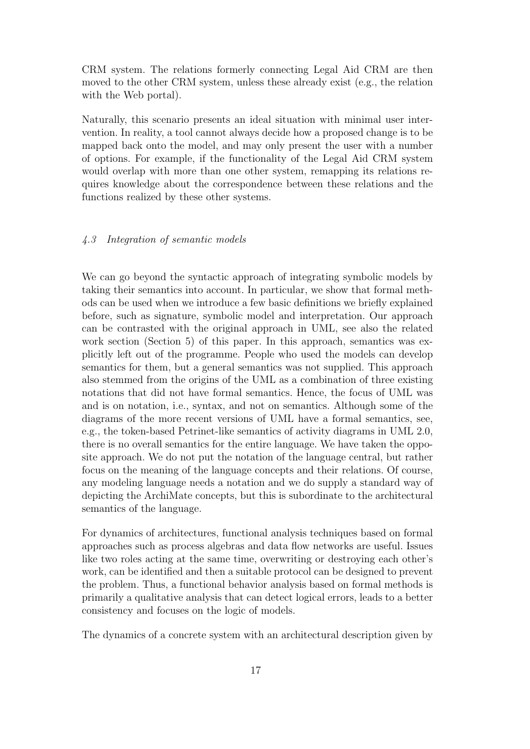CRM system. The relations formerly connecting Legal Aid CRM are then moved to the other CRM system, unless these already exist (e.g., the relation with the Web portal).

Naturally, this scenario presents an ideal situation with minimal user intervention. In reality, a tool cannot always decide how a proposed change is to be mapped back onto the model, and may only present the user with a number of options. For example, if the functionality of the Legal Aid CRM system would overlap with more than one other system, remapping its relations requires knowledge about the correspondence between these relations and the functions realized by these other systems.

#### 4.3 Integration of semantic models

We can go beyond the syntactic approach of integrating symbolic models by taking their semantics into account. In particular, we show that formal methods can be used when we introduce a few basic definitions we briefly explained before, such as signature, symbolic model and interpretation. Our approach can be contrasted with the original approach in UML, see also the related work section (Section 5) of this paper. In this approach, semantics was explicitly left out of the programme. People who used the models can develop semantics for them, but a general semantics was not supplied. This approach also stemmed from the origins of the UML as a combination of three existing notations that did not have formal semantics. Hence, the focus of UML was and is on notation, i.e., syntax, and not on semantics. Although some of the diagrams of the more recent versions of UML have a formal semantics, see, e.g., the token-based Petrinet-like semantics of activity diagrams in UML 2.0, there is no overall semantics for the entire language. We have taken the opposite approach. We do not put the notation of the language central, but rather focus on the meaning of the language concepts and their relations. Of course, any modeling language needs a notation and we do supply a standard way of depicting the ArchiMate concepts, but this is subordinate to the architectural semantics of the language.

For dynamics of architectures, functional analysis techniques based on formal approaches such as process algebras and data flow networks are useful. Issues like two roles acting at the same time, overwriting or destroying each other's work, can be identified and then a suitable protocol can be designed to prevent the problem. Thus, a functional behavior analysis based on formal methods is primarily a qualitative analysis that can detect logical errors, leads to a better consistency and focuses on the logic of models.

The dynamics of a concrete system with an architectural description given by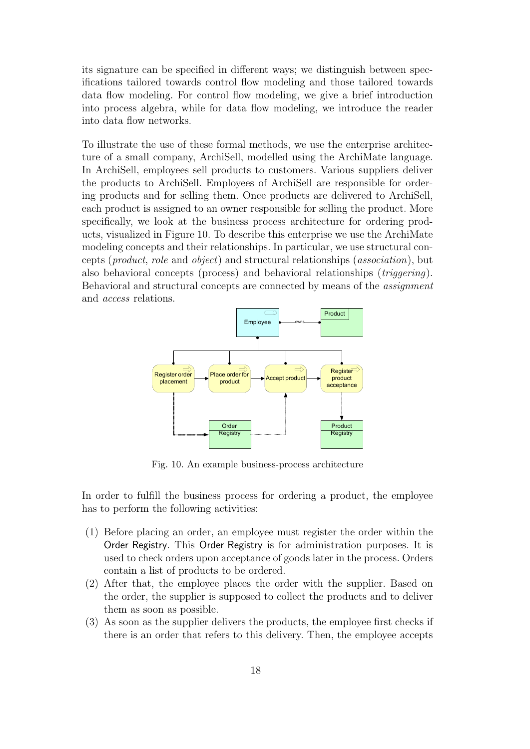its signature can be specified in different ways; we distinguish between specifications tailored towards control flow modeling and those tailored towards data flow modeling. For control flow modeling, we give a brief introduction into process algebra, while for data flow modeling, we introduce the reader into data flow networks.

To illustrate the use of these formal methods, we use the enterprise architecture of a small company, ArchiSell, modelled using the ArchiMate language. In ArchiSell, employees sell products to customers. Various suppliers deliver the products to ArchiSell. Employees of ArchiSell are responsible for ordering products and for selling them. Once products are delivered to ArchiSell, each product is assigned to an owner responsible for selling the product. More specifically, we look at the business process architecture for ordering products, visualized in Figure 10. To describe this enterprise we use the ArchiMate modeling concepts and their relationships. In particular, we use structural concepts (product, role and object) and structural relationships (association), but also behavioral concepts (process) and behavioral relationships (triggering). Behavioral and structural concepts are connected by means of the assignment and access relations.



Fig. 10. An example business-process architecture

In order to fulfill the business process for ordering a product, the employee has to perform the following activities:

- (1) Before placing an order, an employee must register the order within the Order Registry. This Order Registry is for administration purposes. It is used to check orders upon acceptance of goods later in the process. Orders contain a list of products to be ordered.
- (2) After that, the employee places the order with the supplier. Based on the order, the supplier is supposed to collect the products and to deliver them as soon as possible.
- (3) As soon as the supplier delivers the products, the employee first checks if there is an order that refers to this delivery. Then, the employee accepts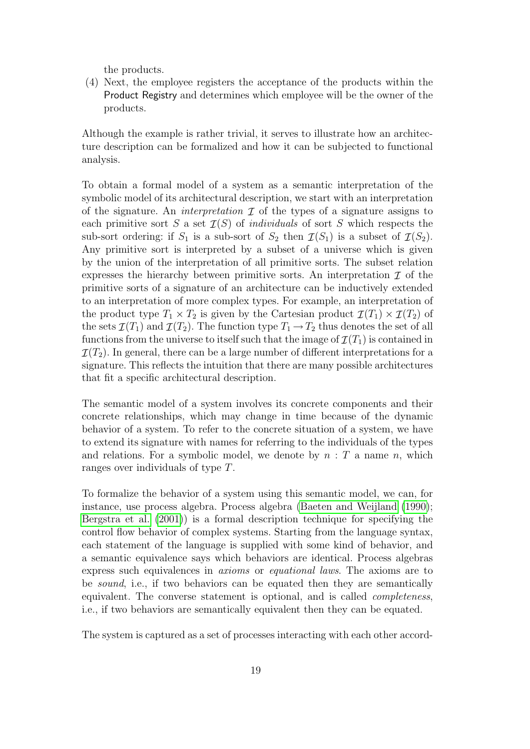the products.

(4) Next, the employee registers the acceptance of the products within the Product Registry and determines which employee will be the owner of the products.

Although the example is rather trivial, it serves to illustrate how an architecture description can be formalized and how it can be subjected to functional analysis.

To obtain a formal model of a system as a semantic interpretation of the symbolic model of its architectural description, we start with an interpretation of the signature. An *interpretation*  $\mathcal I$  of the types of a signature assigns to each primitive sort S a set  $\mathcal{I}(S)$  of *individuals* of sort S which respects the sub-sort ordering: if  $S_1$  is a sub-sort of  $S_2$  then  $\mathcal{I}(S_1)$  is a subset of  $\mathcal{I}(S_2)$ . Any primitive sort is interpreted by a subset of a universe which is given by the union of the interpretation of all primitive sorts. The subset relation expresses the hierarchy between primitive sorts. An interpretation  $\mathcal I$  of the primitive sorts of a signature of an architecture can be inductively extended to an interpretation of more complex types. For example, an interpretation of the product type  $T_1 \times T_2$  is given by the Cartesian product  $\mathcal{I}(T_1) \times \mathcal{I}(T_2)$  of the sets  $\mathcal{I}(T_1)$  and  $\mathcal{I}(T_2)$ . The function type  $T_1 \to T_2$  thus denotes the set of all functions from the universe to itself such that the image of  $\mathcal{I}(T_1)$  is contained in  $\mathcal{I}(T_2)$ . In general, there can be a large number of different interpretations for a signature. This reflects the intuition that there are many possible architectures that fit a specific architectural description.

The semantic model of a system involves its concrete components and their concrete relationships, which may change in time because of the dynamic behavior of a system. To refer to the concrete situation of a system, we have to extend its signature with names for referring to the individuals of the types and relations. For a symbolic model, we denote by  $n : T$  a name n, which ranges over individuals of type T.

To formalize the behavior of a system using this semantic model, we can, for instance, use process algebra. Process algebra [\(Baeten and Weijland](#page-25-1) [\(1990\)](#page-25-1); [Bergstra et al.](#page-25-2) [\(2001\)](#page-25-2)) is a formal description technique for specifying the control flow behavior of complex systems. Starting from the language syntax, each statement of the language is supplied with some kind of behavior, and a semantic equivalence says which behaviors are identical. Process algebras express such equivalences in axioms or equational laws. The axioms are to be sound, i.e., if two behaviors can be equated then they are semantically equivalent. The converse statement is optional, and is called completeness, i.e., if two behaviors are semantically equivalent then they can be equated.

The system is captured as a set of processes interacting with each other accord-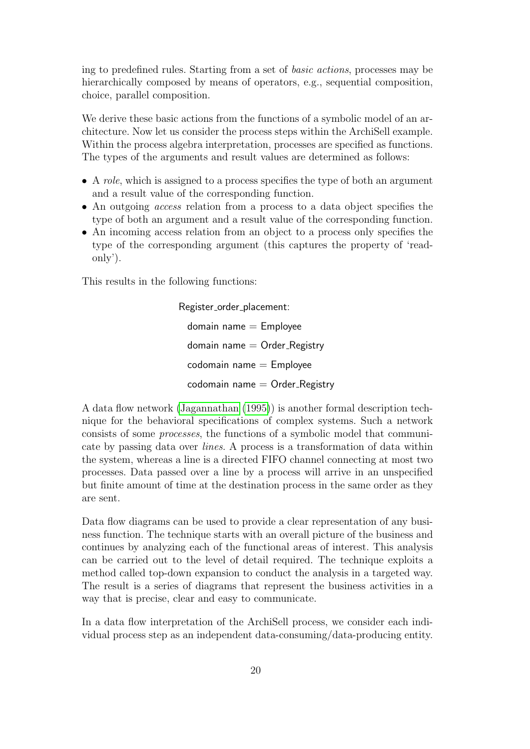ing to predefined rules. Starting from a set of basic actions, processes may be hierarchically composed by means of operators, e.g., sequential composition, choice, parallel composition.

We derive these basic actions from the functions of a symbolic model of an architecture. Now let us consider the process steps within the ArchiSell example. Within the process algebra interpretation, processes are specified as functions. The types of the arguments and result values are determined as follows:

- A role, which is assigned to a process specifies the type of both an argument and a result value of the corresponding function.
- An outgoing access relation from a process to a data object specifies the type of both an argument and a result value of the corresponding function.
- An incoming access relation from an object to a process only specifies the type of the corresponding argument (this captures the property of 'readonly').

This results in the following functions:

```
Register_order_placement:
domain name = Employee
domain name = Order<sub>-Registry</sub>
codomain name = Employee
codomain name = Order Registry
```
A data flow network [\(Jagannathan](#page-26-4) [\(1995\)](#page-26-4)) is another formal description technique for the behavioral specifications of complex systems. Such a network consists of some processes, the functions of a symbolic model that communicate by passing data over lines. A process is a transformation of data within the system, whereas a line is a directed FIFO channel connecting at most two processes. Data passed over a line by a process will arrive in an unspecified but finite amount of time at the destination process in the same order as they are sent.

Data flow diagrams can be used to provide a clear representation of any business function. The technique starts with an overall picture of the business and continues by analyzing each of the functional areas of interest. This analysis can be carried out to the level of detail required. The technique exploits a method called top-down expansion to conduct the analysis in a targeted way. The result is a series of diagrams that represent the business activities in a way that is precise, clear and easy to communicate.

In a data flow interpretation of the ArchiSell process, we consider each individual process step as an independent data-consuming/data-producing entity.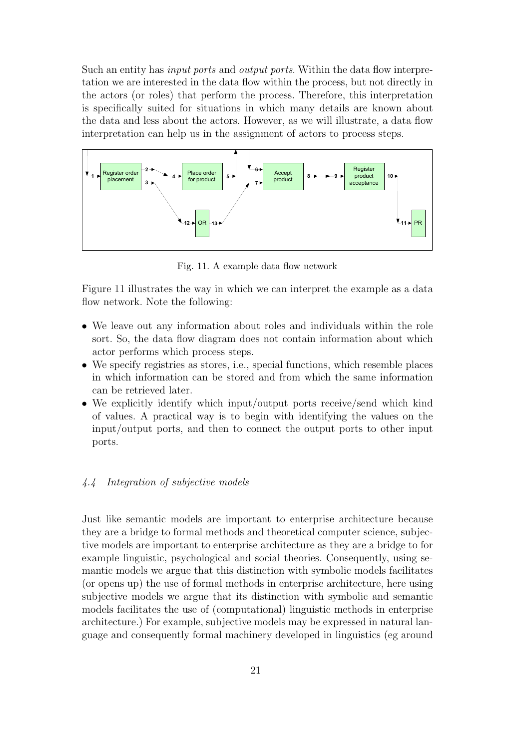Such an entity has input ports and output ports. Within the data flow interpretation we are interested in the data flow within the process, but not directly in the actors (or roles) that perform the process. Therefore, this interpretation is specifically suited for situations in which many details are known about the data and less about the actors. However, as we will illustrate, a data flow interpretation can help us in the assignment of actors to process steps.



Fig. 11. A example data flow network

Figure 11 illustrates the way in which we can interpret the example as a data flow network. Note the following:

- We leave out any information about roles and individuals within the role sort. So, the data flow diagram does not contain information about which actor performs which process steps.
- We specify registries as stores, i.e., special functions, which resemble places in which information can be stored and from which the same information can be retrieved later.
- We explicitly identify which input/output ports receive/send which kind of values. A practical way is to begin with identifying the values on the input/output ports, and then to connect the output ports to other input ports.

# 4.4 Integration of subjective models

Just like semantic models are important to enterprise architecture because they are a bridge to formal methods and theoretical computer science, subjective models are important to enterprise architecture as they are a bridge to for example linguistic, psychological and social theories. Consequently, using semantic models we argue that this distinction with symbolic models facilitates (or opens up) the use of formal methods in enterprise architecture, here using subjective models we argue that its distinction with symbolic and semantic models facilitates the use of (computational) linguistic methods in enterprise architecture.) For example, subjective models may be expressed in natural language and consequently formal machinery developed in linguistics (eg around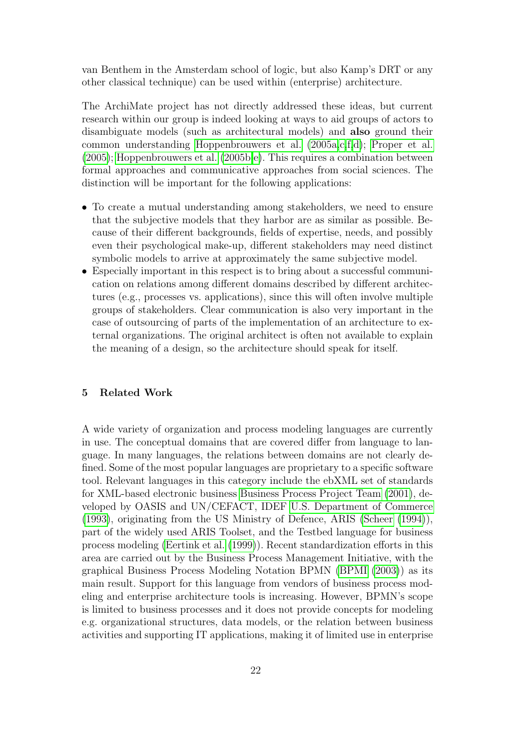van Benthem in the Amsterdam school of logic, but also Kamp's DRT or any other classical technique) can be used within (enterprise) architecture.

The ArchiMate project has not directly addressed these ideas, but current research within our group is indeed looking at ways to aid groups of actors to disambiguate models (such as architectural models) and also ground their common understanding [Hoppenbrouwers et al.](#page-25-3) [\(2005a,](#page-25-3)[c](#page-25-4)[,f,](#page-26-5)[d\)](#page-26-6); [Proper et al.](#page-27-7) [\(2005\)](#page-27-7); [Hoppenbrouwers et al.](#page-25-5) [\(2005b,](#page-25-5)[e\)](#page-26-7). This requires a combination between formal approaches and communicative approaches from social sciences. The distinction will be important for the following applications:

- To create a mutual understanding among stakeholders, we need to ensure that the subjective models that they harbor are as similar as possible. Because of their different backgrounds, fields of expertise, needs, and possibly even their psychological make-up, different stakeholders may need distinct symbolic models to arrive at approximately the same subjective model.
- Especially important in this respect is to bring about a successful communication on relations among different domains described by different architectures (e.g., processes vs. applications), since this will often involve multiple groups of stakeholders. Clear communication is also very important in the case of outsourcing of parts of the implementation of an architecture to external organizations. The original architect is often not available to explain the meaning of a design, so the architecture should speak for itself.

#### 5 Related Work

A wide variety of organization and process modeling languages are currently in use. The conceptual domains that are covered differ from language to language. In many languages, the relations between domains are not clearly defined. Some of the most popular languages are proprietary to a specific software tool. Relevant languages in this category include the ebXML set of standards for XML-based electronic business [Business Process Project Team](#page-25-6) [\(2001\)](#page-25-6), developed by OASIS and UN/CEFACT, IDEF [U.S. Department of Commerce](#page-27-8) [\(1993\)](#page-27-8), originating from the US Ministry of Defence, ARIS [\(Scheer](#page-27-9) [\(1994\)](#page-27-9)), part of the widely used ARIS Toolset, and the Testbed language for business process modeling [\(Eertink et al.](#page-25-7) [\(1999\)](#page-25-7)). Recent standardization efforts in this area are carried out by the Business Process Management Initiative, with the graphical Business Process Modeling Notation BPMN [\(BPMI](#page-25-8) [\(2003\)](#page-25-8)) as its main result. Support for this language from vendors of business process modeling and enterprise architecture tools is increasing. However, BPMN's scope is limited to business processes and it does not provide concepts for modeling e.g. organizational structures, data models, or the relation between business activities and supporting IT applications, making it of limited use in enterprise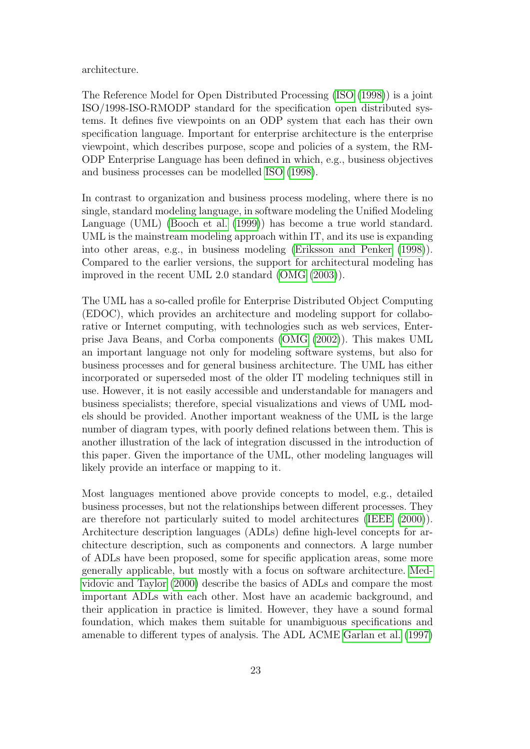architecture.

The Reference Model for Open Distributed Processing [\(ISO](#page-26-8) [\(1998\)](#page-26-8)) is a joint ISO/1998-ISO-RMODP standard for the specification open distributed systems. It defines five viewpoints on an ODP system that each has their own specification language. Important for enterprise architecture is the enterprise viewpoint, which describes purpose, scope and policies of a system, the RM-ODP Enterprise Language has been defined in which, e.g., business objectives and business processes can be modelled [ISO](#page-26-8) [\(1998\)](#page-26-8).

In contrast to organization and business process modeling, where there is no single, standard modeling language, in software modeling the Unified Modeling Language (UML) [\(Booch et al.](#page-25-9) [\(1999\)](#page-25-9)) has become a true world standard. UML is the mainstream modeling approach within IT, and its use is expanding into other areas, e.g., in business modeling [\(Eriksson and Penker](#page-25-10) [\(1998\)](#page-25-10)). Compared to the earlier versions, the support for architectural modeling has improved in the recent UML 2.0 standard [\(OMG](#page-27-10) [\(2003\)](#page-27-10)).

The UML has a so-called profile for Enterprise Distributed Object Computing (EDOC), which provides an architecture and modeling support for collaborative or Internet computing, with technologies such as web services, Enterprise Java Beans, and Corba components [\(OMG](#page-27-11) [\(2002\)](#page-27-11)). This makes UML an important language not only for modeling software systems, but also for business processes and for general business architecture. The UML has either incorporated or superseded most of the older IT modeling techniques still in use. However, it is not easily accessible and understandable for managers and business specialists; therefore, special visualizations and views of UML models should be provided. Another important weakness of the UML is the large number of diagram types, with poorly defined relations between them. This is another illustration of the lack of integration discussed in the introduction of this paper. Given the importance of the UML, other modeling languages will likely provide an interface or mapping to it.

Most languages mentioned above provide concepts to model, e.g., detailed business processes, but not the relationships between different processes. They are therefore not particularly suited to model architectures [\(IEEE](#page-26-0) [\(2000\)](#page-26-0)). Architecture description languages (ADLs) define high-level concepts for architecture description, such as components and connectors. A large number of ADLs have been proposed, some for specific application areas, some more generally applicable, but mostly with a focus on software architecture. [Med](#page-26-9)[vidovic and Taylor](#page-26-9) [\(2000\)](#page-26-9) describe the basics of ADLs and compare the most important ADLs with each other. Most have an academic background, and their application in practice is limited. However, they have a sound formal foundation, which makes them suitable for unambiguous specifications and amenable to different types of analysis. The ADL ACME [Garlan et al.](#page-25-11) [\(1997\)](#page-25-11)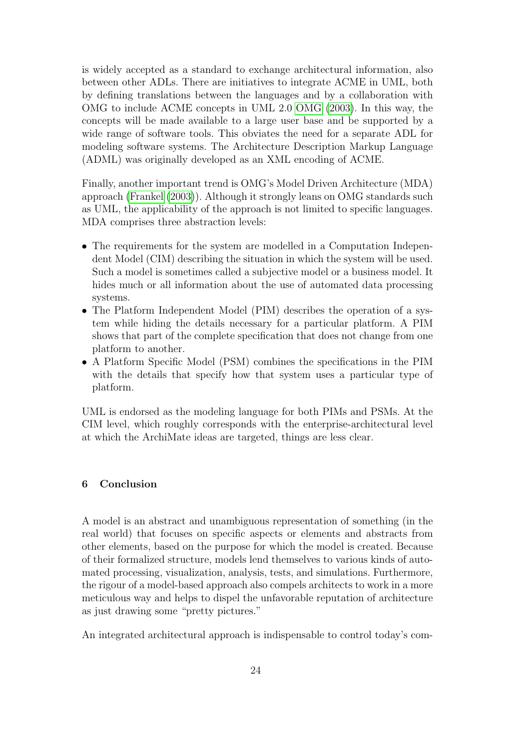is widely accepted as a standard to exchange architectural information, also between other ADLs. There are initiatives to integrate ACME in UML, both by defining translations between the languages and by a collaboration with OMG to include ACME concepts in UML 2.0 [OMG](#page-27-10) [\(2003\)](#page-27-10). In this way, the concepts will be made available to a large user base and be supported by a wide range of software tools. This obviates the need for a separate ADL for modeling software systems. The Architecture Description Markup Language (ADML) was originally developed as an XML encoding of ACME.

Finally, another important trend is OMG's Model Driven Architecture (MDA) approach [\(Frankel](#page-25-12) [\(2003\)](#page-25-12)). Although it strongly leans on OMG standards such as UML, the applicability of the approach is not limited to specific languages. MDA comprises three abstraction levels:

- The requirements for the system are modelled in a Computation Independent Model (CIM) describing the situation in which the system will be used. Such a model is sometimes called a subjective model or a business model. It hides much or all information about the use of automated data processing systems.
- The Platform Independent Model (PIM) describes the operation of a system while hiding the details necessary for a particular platform. A PIM shows that part of the complete specification that does not change from one platform to another.
- A Platform Specific Model (PSM) combines the specifications in the PIM with the details that specify how that system uses a particular type of platform.

UML is endorsed as the modeling language for both PIMs and PSMs. At the CIM level, which roughly corresponds with the enterprise-architectural level at which the ArchiMate ideas are targeted, things are less clear.

# 6 Conclusion

A model is an abstract and unambiguous representation of something (in the real world) that focuses on specific aspects or elements and abstracts from other elements, based on the purpose for which the model is created. Because of their formalized structure, models lend themselves to various kinds of automated processing, visualization, analysis, tests, and simulations. Furthermore, the rigour of a model-based approach also compels architects to work in a more meticulous way and helps to dispel the unfavorable reputation of architecture as just drawing some "pretty pictures."

An integrated architectural approach is indispensable to control today's com-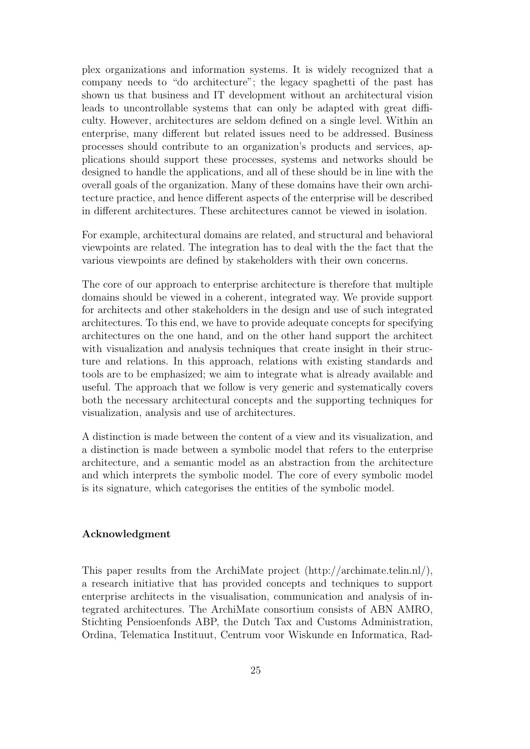plex organizations and information systems. It is widely recognized that a company needs to "do architecture"; the legacy spaghetti of the past has shown us that business and IT development without an architectural vision leads to uncontrollable systems that can only be adapted with great difficulty. However, architectures are seldom defined on a single level. Within an enterprise, many different but related issues need to be addressed. Business processes should contribute to an organization's products and services, applications should support these processes, systems and networks should be designed to handle the applications, and all of these should be in line with the overall goals of the organization. Many of these domains have their own architecture practice, and hence different aspects of the enterprise will be described in different architectures. These architectures cannot be viewed in isolation.

For example, architectural domains are related, and structural and behavioral viewpoints are related. The integration has to deal with the the fact that the various viewpoints are defined by stakeholders with their own concerns.

The core of our approach to enterprise architecture is therefore that multiple domains should be viewed in a coherent, integrated way. We provide support for architects and other stakeholders in the design and use of such integrated architectures. To this end, we have to provide adequate concepts for specifying architectures on the one hand, and on the other hand support the architect with visualization and analysis techniques that create insight in their structure and relations. In this approach, relations with existing standards and tools are to be emphasized; we aim to integrate what is already available and useful. The approach that we follow is very generic and systematically covers both the necessary architectural concepts and the supporting techniques for visualization, analysis and use of architectures.

A distinction is made between the content of a view and its visualization, and a distinction is made between a symbolic model that refers to the enterprise architecture, and a semantic model as an abstraction from the architecture and which interprets the symbolic model. The core of every symbolic model is its signature, which categorises the entities of the symbolic model.

#### Acknowledgment

This paper results from the ArchiMate project  $(\text{http://archimate.telin.nl/}).$ a research initiative that has provided concepts and techniques to support enterprise architects in the visualisation, communication and analysis of integrated architectures. The ArchiMate consortium consists of ABN AMRO, Stichting Pensioenfonds ABP, the Dutch Tax and Customs Administration, Ordina, Telematica Instituut, Centrum voor Wiskunde en Informatica, Rad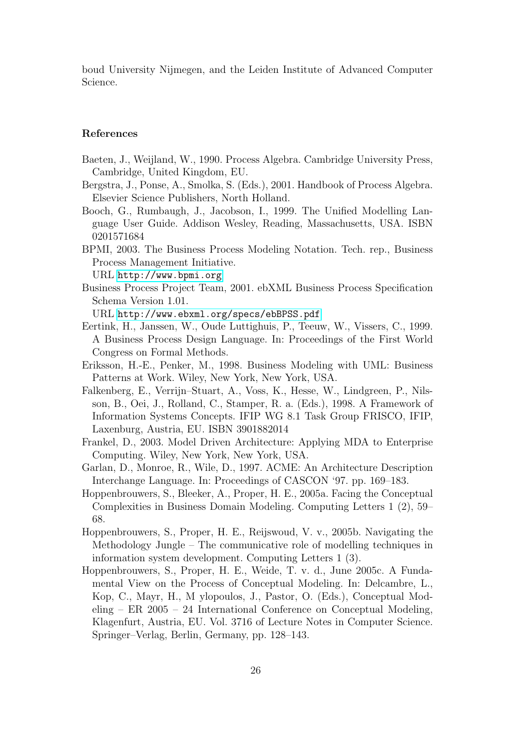boud University Nijmegen, and the Leiden Institute of Advanced Computer Science.

#### References

- <span id="page-25-1"></span>Baeten, J., Weijland, W., 1990. Process Algebra. Cambridge University Press, Cambridge, United Kingdom, EU.
- <span id="page-25-2"></span>Bergstra, J., Ponse, A., Smolka, S. (Eds.), 2001. Handbook of Process Algebra. Elsevier Science Publishers, North Holland.
- <span id="page-25-9"></span>Booch, G., Rumbaugh, J., Jacobson, I., 1999. The Unified Modelling Language User Guide. Addison Wesley, Reading, Massachusetts, USA. ISBN 0201571684
- <span id="page-25-8"></span>BPMI, 2003. The Business Process Modeling Notation. Tech. rep., Business Process Management Initiative.

URL <http://www.bpmi.org>

<span id="page-25-6"></span>Business Process Project Team, 2001. ebXML Business Process Specification Schema Version 1.01.

URL <http://www.ebxml.org/specs/ebBPSS.pdf>

- <span id="page-25-7"></span>Eertink, H., Janssen, W., Oude Luttighuis, P., Teeuw, W., Vissers, C., 1999. A Business Process Design Language. In: Proceedings of the First World Congress on Formal Methods.
- <span id="page-25-10"></span>Eriksson, H.-E., Penker, M., 1998. Business Modeling with UML: Business Patterns at Work. Wiley, New York, New York, USA.
- <span id="page-25-0"></span>Falkenberg, E., Verrijn–Stuart, A., Voss, K., Hesse, W., Lindgreen, P., Nilsson, B., Oei, J., Rolland, C., Stamper, R. a. (Eds.), 1998. A Framework of Information Systems Concepts. IFIP WG 8.1 Task Group FRISCO, IFIP, Laxenburg, Austria, EU. ISBN 3901882014
- <span id="page-25-12"></span>Frankel, D., 2003. Model Driven Architecture: Applying MDA to Enterprise Computing. Wiley, New York, New York, USA.
- <span id="page-25-11"></span>Garlan, D., Monroe, R., Wile, D., 1997. ACME: An Architecture Description Interchange Language. In: Proceedings of CASCON '97. pp. 169–183.
- <span id="page-25-3"></span>Hoppenbrouwers, S., Bleeker, A., Proper, H. E., 2005a. Facing the Conceptual Complexities in Business Domain Modeling. Computing Letters 1 (2), 59– 68.
- <span id="page-25-5"></span>Hoppenbrouwers, S., Proper, H. E., Reijswoud, V. v., 2005b. Navigating the Methodology Jungle – The communicative role of modelling techniques in information system development. Computing Letters 1 (3).
- <span id="page-25-4"></span>Hoppenbrouwers, S., Proper, H. E., Weide, T. v. d., June 2005c. A Fundamental View on the Process of Conceptual Modeling. In: Delcambre, L., Kop, C., Mayr, H., M ylopoulos, J., Pastor, O. (Eds.), Conceptual Modeling – ER 2005 – 24 International Conference on Conceptual Modeling, Klagenfurt, Austria, EU. Vol. 3716 of Lecture Notes in Computer Science. Springer–Verlag, Berlin, Germany, pp. 128–143.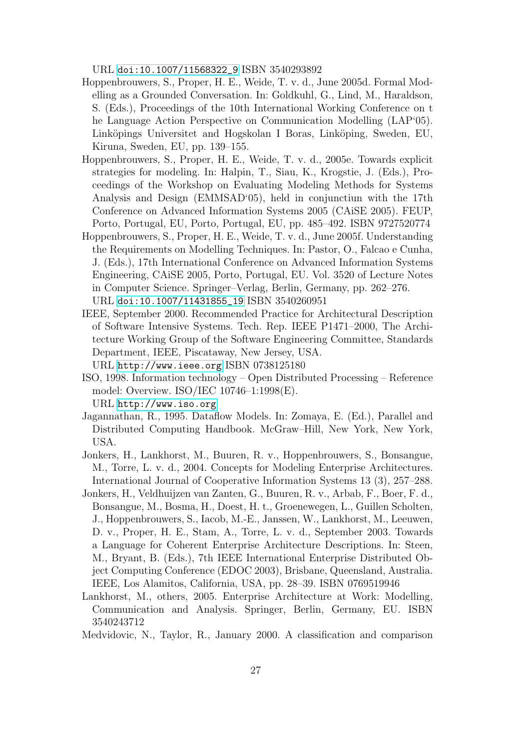URL [doi:10.1007/11568322\\_9](doi:10.1007/11568322_9) ISBN 3540293892

- <span id="page-26-6"></span>Hoppenbrouwers, S., Proper, H. E., Weide, T. v. d., June 2005d. Formal Modelling as a Grounded Conversation. In: Goldkuhl, G., Lind, M., Haraldson, S. (Eds.), Proceedings of the 10th International Working Conference on t he Language Action Perspective on Communication Modelling (LAP'05). Linköpings Universitet and Hogskolan I Boras, Linköping, Sweden, EU, Kiruna, Sweden, EU, pp. 139–155.
- <span id="page-26-7"></span>Hoppenbrouwers, S., Proper, H. E., Weide, T. v. d., 2005e. Towards explicit strategies for modeling. In: Halpin, T., Siau, K., Krogstie, J. (Eds.), Proceedings of the Workshop on Evaluating Modeling Methods for Systems Analysis and Design (EMMSAD'05), held in conjunctiun with the 17th Conference on Advanced Information Systems 2005 (CAiSE 2005). FEUP, Porto, Portugal, EU, Porto, Portugal, EU, pp. 485–492. ISBN 9727520774
- <span id="page-26-5"></span>Hoppenbrouwers, S., Proper, H. E., Weide, T. v. d., June 2005f. Understanding the Requirements on Modelling Techniques. In: Pastor, O., Falcao e Cunha, J. (Eds.), 17th International Conference on Advanced Information Systems Engineering, CAiSE 2005, Porto, Portugal, EU. Vol. 3520 of Lecture Notes in Computer Science. Springer–Verlag, Berlin, Germany, pp. 262–276. URL [doi:10.1007/11431855\\_19](doi:10.1007/11431855_19) ISBN 3540260951
- <span id="page-26-0"></span>IEEE, September 2000. Recommended Practice for Architectural Description of Software Intensive Systems. Tech. Rep. IEEE P1471–2000, The Architecture Working Group of the Software Engineering Committee, Standards Department, IEEE, Piscataway, New Jersey, USA. URL <http://www.ieee.org> ISBN 0738125180
- <span id="page-26-8"></span>ISO, 1998. Information technology – Open Distributed Processing – Reference model: Overview. ISO/IEC 10746–1:1998(E).
- URL <http://www.iso.org>
- <span id="page-26-4"></span>Jagannathan, R., 1995. Dataflow Models. In: Zomaya, E. (Ed.), Parallel and Distributed Computing Handbook. McGraw–Hill, New York, New York, USA.
- <span id="page-26-2"></span>Jonkers, H., Lankhorst, M., Buuren, R. v., Hoppenbrouwers, S., Bonsangue, M., Torre, L. v. d., 2004. Concepts for Modeling Enterprise Architectures. International Journal of Cooperative Information Systems 13 (3), 257–288.
- <span id="page-26-1"></span>Jonkers, H., Veldhuijzen van Zanten, G., Buuren, R. v., Arbab, F., Boer, F. d., Bonsangue, M., Bosma, H., Doest, H. t., Groenewegen, L., Guillen Scholten, J., Hoppenbrouwers, S., Iacob, M.-E., Janssen, W., Lankhorst, M., Leeuwen, D. v., Proper, H. E., Stam, A., Torre, L. v. d., September 2003. Towards a Language for Coherent Enterprise Architecture Descriptions. In: Steen, M., Bryant, B. (Eds.), 7th IEEE International Enterprise Distributed Object Computing Conference (EDOC 2003), Brisbane, Queensland, Australia. IEEE, Los Alamitos, California, USA, pp. 28–39. ISBN 0769519946
- <span id="page-26-3"></span>Lankhorst, M., others, 2005. Enterprise Architecture at Work: Modelling, Communication and Analysis. Springer, Berlin, Germany, EU. ISBN 3540243712

<span id="page-26-9"></span>Medvidovic, N., Taylor, R., January 2000. A classification and comparison